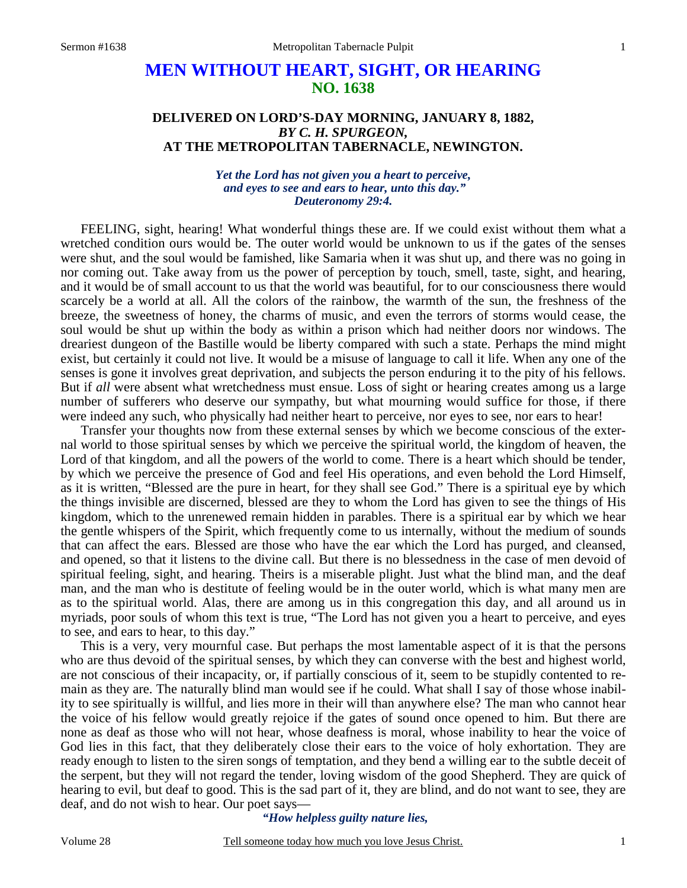# **MEN WITHOUT HEART, SIGHT, OR HEARING NO. 1638**

### **DELIVERED ON LORD'S-DAY MORNING, JANUARY 8, 1882,**  *BY C. H. SPURGEON,*  **AT THE METROPOLITAN TABERNACLE, NEWINGTON.**

#### *Yet the Lord has not given you a heart to perceive, and eyes to see and ears to hear, unto this day." Deuteronomy 29:4.*

FEELING, sight, hearing! What wonderful things these are. If we could exist without them what a wretched condition ours would be. The outer world would be unknown to us if the gates of the senses were shut, and the soul would be famished, like Samaria when it was shut up, and there was no going in nor coming out. Take away from us the power of perception by touch, smell, taste, sight, and hearing, and it would be of small account to us that the world was beautiful, for to our consciousness there would scarcely be a world at all. All the colors of the rainbow, the warmth of the sun, the freshness of the breeze, the sweetness of honey, the charms of music, and even the terrors of storms would cease, the soul would be shut up within the body as within a prison which had neither doors nor windows. The dreariest dungeon of the Bastille would be liberty compared with such a state. Perhaps the mind might exist, but certainly it could not live. It would be a misuse of language to call it life. When any one of the senses is gone it involves great deprivation, and subjects the person enduring it to the pity of his fellows. But if *all* were absent what wretchedness must ensue. Loss of sight or hearing creates among us a large number of sufferers who deserve our sympathy, but what mourning would suffice for those, if there were indeed any such, who physically had neither heart to perceive, nor eyes to see, nor ears to hear!

 Transfer your thoughts now from these external senses by which we become conscious of the external world to those spiritual senses by which we perceive the spiritual world, the kingdom of heaven, the Lord of that kingdom, and all the powers of the world to come. There is a heart which should be tender, by which we perceive the presence of God and feel His operations, and even behold the Lord Himself, as it is written, "Blessed are the pure in heart, for they shall see God." There is a spiritual eye by which the things invisible are discerned, blessed are they to whom the Lord has given to see the things of His kingdom, which to the unrenewed remain hidden in parables. There is a spiritual ear by which we hear the gentle whispers of the Spirit, which frequently come to us internally, without the medium of sounds that can affect the ears. Blessed are those who have the ear which the Lord has purged, and cleansed, and opened, so that it listens to the divine call. But there is no blessedness in the case of men devoid of spiritual feeling, sight, and hearing. Theirs is a miserable plight. Just what the blind man, and the deaf man, and the man who is destitute of feeling would be in the outer world, which is what many men are as to the spiritual world. Alas, there are among us in this congregation this day, and all around us in myriads, poor souls of whom this text is true, "The Lord has not given you a heart to perceive, and eyes to see, and ears to hear, to this day."

 This is a very, very mournful case. But perhaps the most lamentable aspect of it is that the persons who are thus devoid of the spiritual senses, by which they can converse with the best and highest world, are not conscious of their incapacity, or, if partially conscious of it, seem to be stupidly contented to remain as they are. The naturally blind man would see if he could. What shall I say of those whose inability to see spiritually is willful, and lies more in their will than anywhere else? The man who cannot hear the voice of his fellow would greatly rejoice if the gates of sound once opened to him. But there are none as deaf as those who will not hear, whose deafness is moral, whose inability to hear the voice of God lies in this fact, that they deliberately close their ears to the voice of holy exhortation. They are ready enough to listen to the siren songs of temptation, and they bend a willing ear to the subtle deceit of the serpent, but they will not regard the tender, loving wisdom of the good Shepherd. They are quick of hearing to evil, but deaf to good. This is the sad part of it, they are blind, and do not want to see, they are deaf, and do not wish to hear. Our poet says—

#### *"How helpless guilty nature lies,*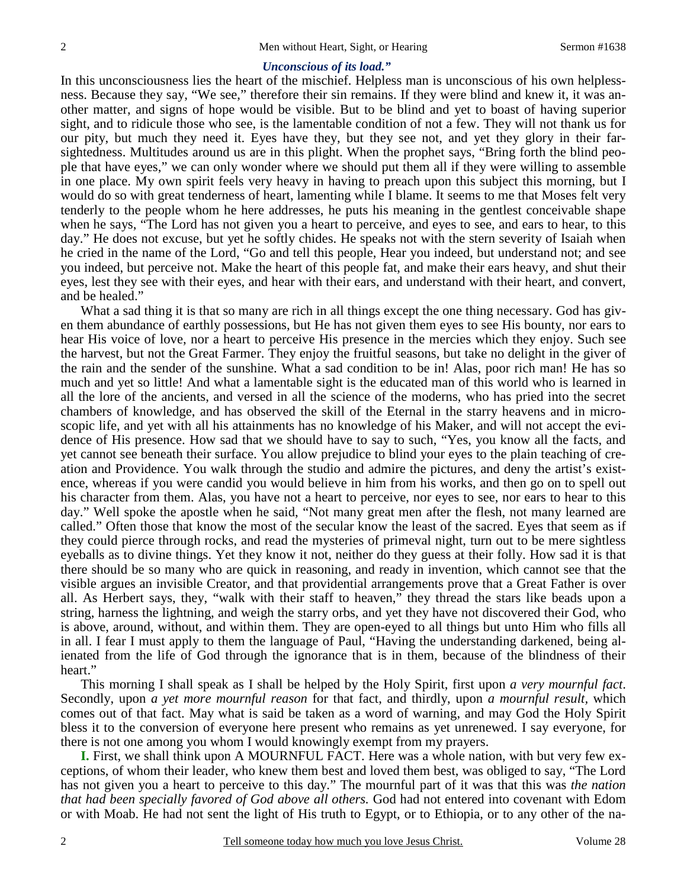#### *Unconscious of its load."*

In this unconsciousness lies the heart of the mischief. Helpless man is unconscious of his own helplessness. Because they say, "We see," therefore their sin remains. If they were blind and knew it, it was another matter, and signs of hope would be visible. But to be blind and yet to boast of having superior sight, and to ridicule those who see, is the lamentable condition of not a few. They will not thank us for our pity, but much they need it. Eyes have they, but they see not, and yet they glory in their farsightedness. Multitudes around us are in this plight. When the prophet says, "Bring forth the blind people that have eyes," we can only wonder where we should put them all if they were willing to assemble in one place. My own spirit feels very heavy in having to preach upon this subject this morning, but I would do so with great tenderness of heart, lamenting while I blame. It seems to me that Moses felt very tenderly to the people whom he here addresses, he puts his meaning in the gentlest conceivable shape when he says, "The Lord has not given you a heart to perceive, and eyes to see, and ears to hear, to this day." He does not excuse, but yet he softly chides. He speaks not with the stern severity of Isaiah when he cried in the name of the Lord, "Go and tell this people, Hear you indeed, but understand not; and see you indeed, but perceive not. Make the heart of this people fat, and make their ears heavy, and shut their eyes, lest they see with their eyes, and hear with their ears, and understand with their heart, and convert, and be healed."

 What a sad thing it is that so many are rich in all things except the one thing necessary. God has given them abundance of earthly possessions, but He has not given them eyes to see His bounty, nor ears to hear His voice of love, nor a heart to perceive His presence in the mercies which they enjoy. Such see the harvest, but not the Great Farmer. They enjoy the fruitful seasons, but take no delight in the giver of the rain and the sender of the sunshine. What a sad condition to be in! Alas, poor rich man! He has so much and yet so little! And what a lamentable sight is the educated man of this world who is learned in all the lore of the ancients, and versed in all the science of the moderns, who has pried into the secret chambers of knowledge, and has observed the skill of the Eternal in the starry heavens and in microscopic life, and yet with all his attainments has no knowledge of his Maker, and will not accept the evidence of His presence. How sad that we should have to say to such, "Yes, you know all the facts, and yet cannot see beneath their surface. You allow prejudice to blind your eyes to the plain teaching of creation and Providence. You walk through the studio and admire the pictures, and deny the artist's existence, whereas if you were candid you would believe in him from his works, and then go on to spell out his character from them. Alas, you have not a heart to perceive, nor eyes to see, nor ears to hear to this day." Well spoke the apostle when he said, "Not many great men after the flesh, not many learned are called." Often those that know the most of the secular know the least of the sacred. Eyes that seem as if they could pierce through rocks, and read the mysteries of primeval night, turn out to be mere sightless eyeballs as to divine things. Yet they know it not, neither do they guess at their folly. How sad it is that there should be so many who are quick in reasoning, and ready in invention, which cannot see that the visible argues an invisible Creator, and that providential arrangements prove that a Great Father is over all. As Herbert says, they, "walk with their staff to heaven," they thread the stars like beads upon a string, harness the lightning, and weigh the starry orbs, and yet they have not discovered their God, who is above, around, without, and within them. They are open-eyed to all things but unto Him who fills all in all. I fear I must apply to them the language of Paul, "Having the understanding darkened, being alienated from the life of God through the ignorance that is in them, because of the blindness of their heart."

 This morning I shall speak as I shall be helped by the Holy Spirit, first upon *a very mournful fact*. Secondly, upon *a yet more mournful reason* for that fact, and thirdly, upon *a mournful result,* which comes out of that fact. May what is said be taken as a word of warning, and may God the Holy Spirit bless it to the conversion of everyone here present who remains as yet unrenewed. I say everyone, for there is not one among you whom I would knowingly exempt from my prayers.

**I.** First, we shall think upon A MOURNFUL FACT. Here was a whole nation, with but very few exceptions, of whom their leader, who knew them best and loved them best, was obliged to say, "The Lord has not given you a heart to perceive to this day." The mournful part of it was that this was *the nation that had been specially favored of God above all others.* God had not entered into covenant with Edom or with Moab. He had not sent the light of His truth to Egypt, or to Ethiopia, or to any other of the na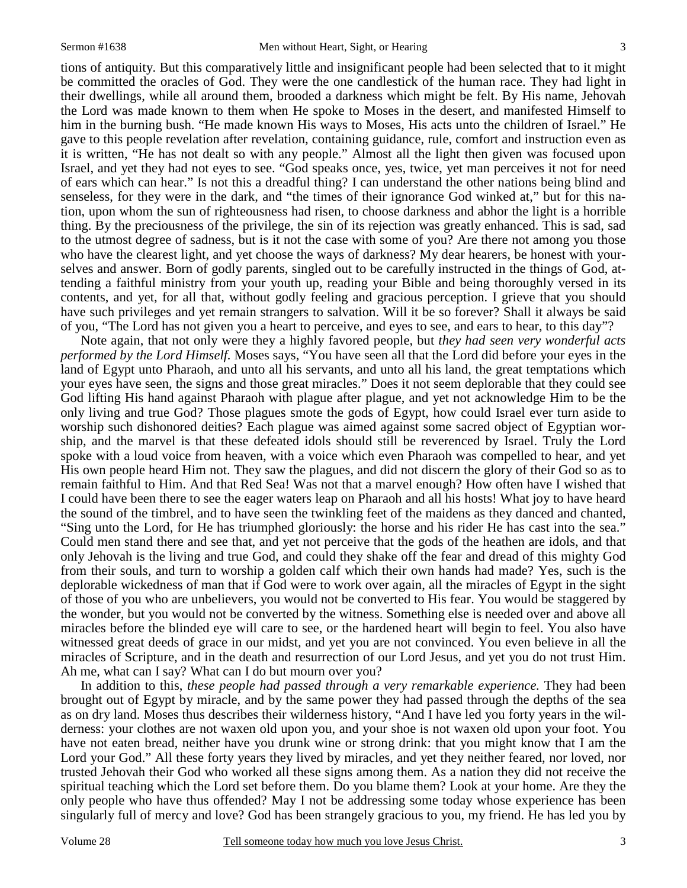tions of antiquity. But this comparatively little and insignificant people had been selected that to it might be committed the oracles of God. They were the one candlestick of the human race. They had light in their dwellings, while all around them, brooded a darkness which might be felt. By His name, Jehovah the Lord was made known to them when He spoke to Moses in the desert, and manifested Himself to him in the burning bush. "He made known His ways to Moses, His acts unto the children of Israel." He gave to this people revelation after revelation, containing guidance, rule, comfort and instruction even as it is written, "He has not dealt so with any people." Almost all the light then given was focused upon Israel, and yet they had not eyes to see. "God speaks once, yes, twice, yet man perceives it not for need of ears which can hear." Is not this a dreadful thing? I can understand the other nations being blind and senseless, for they were in the dark, and "the times of their ignorance God winked at," but for this nation, upon whom the sun of righteousness had risen, to choose darkness and abhor the light is a horrible thing. By the preciousness of the privilege*,* the sin of its rejection was greatly enhanced. This is sad, sad to the utmost degree of sadness, but is it not the case with some of you? Are there not among you those who have the clearest light, and yet choose the ways of darkness? My dear hearers, be honest with yourselves and answer. Born of godly parents, singled out to be carefully instructed in the things of God, attending a faithful ministry from your youth up, reading your Bible and being thoroughly versed in its contents, and yet, for all that, without godly feeling and gracious perception. I grieve that you should have such privileges and yet remain strangers to salvation. Will it be so forever? Shall it always be said of you, "The Lord has not given you a heart to perceive, and eyes to see, and ears to hear, to this day"?

 Note again, that not only were they a highly favored people, but *they had seen very wonderful acts performed by the Lord Himself.* Moses says, "You have seen all that the Lord did before your eyes in the land of Egypt unto Pharaoh, and unto all his servants, and unto all his land, the great temptations which your eyes have seen, the signs and those great miracles." Does it not seem deplorable that they could see God lifting His hand against Pharaoh with plague after plague, and yet not acknowledge Him to be the only living and true God? Those plagues smote the gods of Egypt, how could Israel ever turn aside to worship such dishonored deities? Each plague was aimed against some sacred object of Egyptian worship, and the marvel is that these defeated idols should still be reverenced by Israel. Truly the Lord spoke with a loud voice from heaven, with a voice which even Pharaoh was compelled to hear, and yet His own people heard Him not. They saw the plagues, and did not discern the glory of their God so as to remain faithful to Him. And that Red Sea! Was not that a marvel enough? How often have I wished that I could have been there to see the eager waters leap on Pharaoh and all his hosts! What joy to have heard the sound of the timbrel, and to have seen the twinkling feet of the maidens as they danced and chanted, "Sing unto the Lord, for He has triumphed gloriously: the horse and his rider He has cast into the sea." Could men stand there and see that, and yet not perceive that the gods of the heathen are idols, and that only Jehovah is the living and true God, and could they shake off the fear and dread of this mighty God from their souls, and turn to worship a golden calf which their own hands had made? Yes, such is the deplorable wickedness of man that if God were to work over again, all the miracles of Egypt in the sight of those of you who are unbelievers, you would not be converted to His fear. You would be staggered by the wonder, but you would not be converted by the witness. Something else is needed over and above all miracles before the blinded eye will care to see, or the hardened heart will begin to feel. You also have witnessed great deeds of grace in our midst, and yet you are not convinced. You even believe in all the miracles of Scripture, and in the death and resurrection of our Lord Jesus, and yet you do not trust Him. Ah me, what can I say? What can I do but mourn over you?

 In addition to this, *these people had passed through a very remarkable experience.* They had been brought out of Egypt by miracle, and by the same power they had passed through the depths of the sea as on dry land. Moses thus describes their wilderness history, "And I have led you forty years in the wilderness: your clothes are not waxen old upon you, and your shoe is not waxen old upon your foot. You have not eaten bread, neither have you drunk wine or strong drink: that you might know that I am the Lord your God." All these forty years they lived by miracles, and yet they neither feared, nor loved, nor trusted Jehovah their God who worked all these signs among them. As a nation they did not receive the spiritual teaching which the Lord set before them. Do you blame them? Look at your home. Are they the only people who have thus offended? May I not be addressing some today whose experience has been singularly full of mercy and love? God has been strangely gracious to you, my friend. He has led you by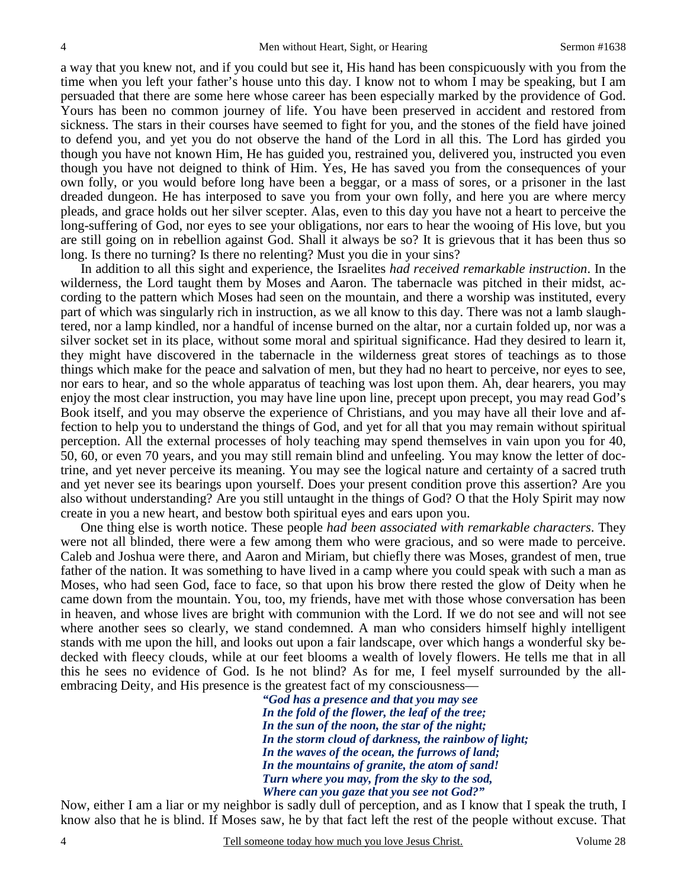a way that you knew not, and if you could but see it, His hand has been conspicuously with you from the time when you left your father's house unto this day. I know not to whom I may be speaking, but I am persuaded that there are some here whose career has been especially marked by the providence of God. Yours has been no common journey of life. You have been preserved in accident and restored from sickness. The stars in their courses have seemed to fight for you, and the stones of the field have joined to defend you, and yet you do not observe the hand of the Lord in all this. The Lord has girded you though you have not known Him, He has guided you, restrained you, delivered you, instructed you even though you have not deigned to think of Him. Yes, He has saved you from the consequences of your own folly, or you would before long have been a beggar, or a mass of sores, or a prisoner in the last dreaded dungeon. He has interposed to save you from your own folly, and here you are where mercy pleads, and grace holds out her silver scepter. Alas, even to this day you have not a heart to perceive the long-suffering of God, nor eyes to see your obligations, nor ears to hear the wooing of His love, but you are still going on in rebellion against God. Shall it always be so? It is grievous that it has been thus so long. Is there no turning? Is there no relenting? Must you die in your sins?

 In addition to all this sight and experience, the Israelites *had received remarkable instruction*. In the wilderness, the Lord taught them by Moses and Aaron. The tabernacle was pitched in their midst, according to the pattern which Moses had seen on the mountain, and there a worship was instituted, every part of which was singularly rich in instruction, as we all know to this day. There was not a lamb slaughtered, nor a lamp kindled, nor a handful of incense burned on the altar, nor a curtain folded up, nor was a silver socket set in its place, without some moral and spiritual significance. Had they desired to learn it, they might have discovered in the tabernacle in the wilderness great stores of teachings as to those things which make for the peace and salvation of men, but they had no heart to perceive, nor eyes to see, nor ears to hear, and so the whole apparatus of teaching was lost upon them. Ah, dear hearers, you may enjoy the most clear instruction, you may have line upon line, precept upon precept, you may read God's Book itself, and you may observe the experience of Christians, and you may have all their love and affection to help you to understand the things of God, and yet for all that you may remain without spiritual perception. All the external processes of holy teaching may spend themselves in vain upon you for 40, 50, 60, or even 70 years, and you may still remain blind and unfeeling. You may know the letter of doctrine, and yet never perceive its meaning. You may see the logical nature and certainty of a sacred truth and yet never see its bearings upon yourself. Does your present condition prove this assertion? Are you also without understanding? Are you still untaught in the things of God? O that the Holy Spirit may now create in you a new heart, and bestow both spiritual eyes and ears upon you.

 One thing else is worth notice. These people *had been associated with remarkable characters*. They were not all blinded, there were a few among them who were gracious, and so were made to perceive. Caleb and Joshua were there, and Aaron and Miriam, but chiefly there was Moses, grandest of men, true father of the nation. It was something to have lived in a camp where you could speak with such a man as Moses, who had seen God, face to face, so that upon his brow there rested the glow of Deity when he came down from the mountain. You, too, my friends, have met with those whose conversation has been in heaven, and whose lives are bright with communion with the Lord. If we do not see and will not see where another sees so clearly, we stand condemned. A man who considers himself highly intelligent stands with me upon the hill, and looks out upon a fair landscape, over which hangs a wonderful sky bedecked with fleecy clouds, while at our feet blooms a wealth of lovely flowers. He tells me that in all this he sees no evidence of God. Is he not blind? As for me, I feel myself surrounded by the allembracing Deity, and His presence is the greatest fact of my consciousness—

> *"God has a presence and that you may see In the fold of the flower, the leaf of the tree; In the sun of the noon, the star of the night; In the storm cloud of darkness, the rainbow of light; In the waves of the ocean, the furrows of land; In the mountains of granite, the atom of sand! Turn where you may, from the sky to the sod, Where can you gaze that you see not God?"*

Now, either I am a liar or my neighbor is sadly dull of perception, and as I know that I speak the truth, I know also that he is blind. If Moses saw, he by that fact left the rest of the people without excuse. That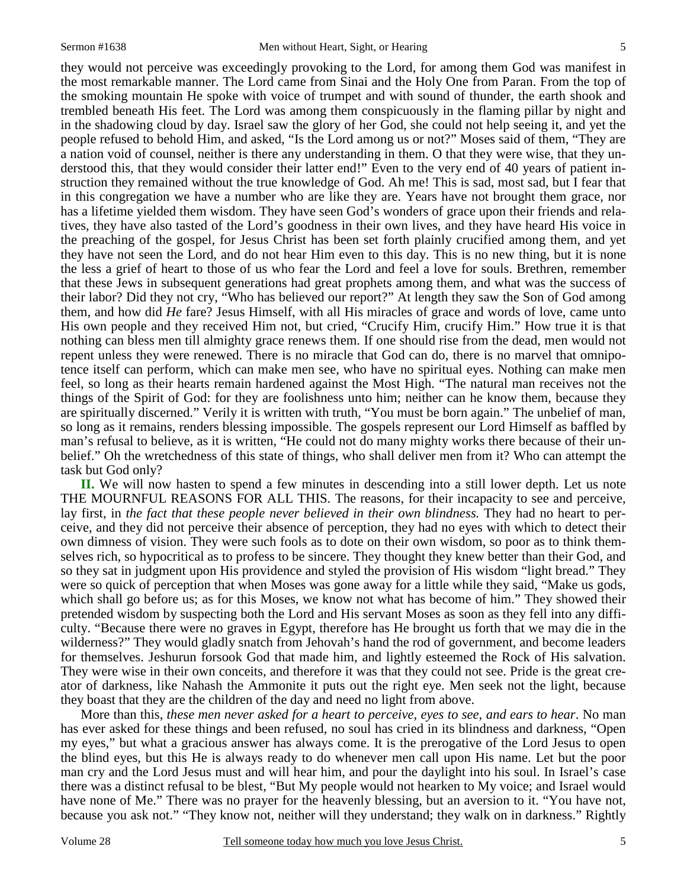they would not perceive was exceedingly provoking to the Lord, for among them God was manifest in the most remarkable manner. The Lord came from Sinai and the Holy One from Paran. From the top of the smoking mountain He spoke with voice of trumpet and with sound of thunder, the earth shook and trembled beneath His feet. The Lord was among them conspicuously in the flaming pillar by night and in the shadowing cloud by day. Israel saw the glory of her God, she could not help seeing it, and yet the people refused to behold Him, and asked, "Is the Lord among us or not?" Moses said of them, "They are a nation void of counsel, neither is there any understanding in them. O that they were wise, that they understood this, that they would consider their latter end!" Even to the very end of 40 years of patient instruction they remained without the true knowledge of God. Ah me! This is sad, most sad, but I fear that in this congregation we have a number who are like they are. Years have not brought them grace, nor has a lifetime yielded them wisdom. They have seen God's wonders of grace upon their friends and relatives, they have also tasted of the Lord's goodness in their own lives, and they have heard His voice in the preaching of the gospel, for Jesus Christ has been set forth plainly crucified among them, and yet they have not seen the Lord, and do not hear Him even to this day. This is no new thing, but it is none the less a grief of heart to those of us who fear the Lord and feel a love for souls. Brethren, remember that these Jews in subsequent generations had great prophets among them, and what was the success of their labor? Did they not cry, "Who has believed our report?" At length they saw the Son of God among them, and how did *He* fare? Jesus Himself, with all His miracles of grace and words of love, came unto His own people and they received Him not, but cried, "Crucify Him, crucify Him." How true it is that nothing can bless men till almighty grace renews them. If one should rise from the dead, men would not repent unless they were renewed. There is no miracle that God can do, there is no marvel that omnipotence itself can perform, which can make men see, who have no spiritual eyes. Nothing can make men feel, so long as their hearts remain hardened against the Most High. "The natural man receives not the things of the Spirit of God: for they are foolishness unto him; neither can he know them, because they are spiritually discerned." Verily it is written with truth, "You must be born again." The unbelief of man, so long as it remains, renders blessing impossible. The gospels represent our Lord Himself as baffled by man's refusal to believe, as it is written, "He could not do many mighty works there because of their unbelief." Oh the wretchedness of this state of things, who shall deliver men from it? Who can attempt the task but God only?

**II.** We will now hasten to spend a few minutes in descending into a still lower depth. Let us note THE MOURNFUL REASONS FOR ALL THIS. The reasons, for their incapacity to see and perceive, lay first, in *the fact that these people never believed in their own blindness.* They had no heart to perceive, and they did not perceive their absence of perception, they had no eyes with which to detect their own dimness of vision. They were such fools as to dote on their own wisdom, so poor as to think themselves rich, so hypocritical as to profess to be sincere. They thought they knew better than their God, and so they sat in judgment upon His providence and styled the provision of His wisdom "light bread." They were so quick of perception that when Moses was gone away for a little while they said, "Make us gods, which shall go before us; as for this Moses, we know not what has become of him." They showed their pretended wisdom by suspecting both the Lord and His servant Moses as soon as they fell into any difficulty. "Because there were no graves in Egypt, therefore has He brought us forth that we may die in the wilderness?" They would gladly snatch from Jehovah's hand the rod of government, and become leaders for themselves. Jeshurun forsook God that made him, and lightly esteemed the Rock of His salvation. They were wise in their own conceits, and therefore it was that they could not see. Pride is the great creator of darkness, like Nahash the Ammonite it puts out the right eye. Men seek not the light, because they boast that they are the children of the day and need no light from above.

 More than this, *these men never asked for a heart to perceive, eyes to see, and ears to hear*. No man has ever asked for these things and been refused, no soul has cried in its blindness and darkness, "Open my eyes," but what a gracious answer has always come. It is the prerogative of the Lord Jesus to open the blind eyes, but this He is always ready to do whenever men call upon His name. Let but the poor man cry and the Lord Jesus must and will hear him, and pour the daylight into his soul. In Israel's case there was a distinct refusal to be blest, "But My people would not hearken to My voice; and Israel would have none of Me." There was no prayer for the heavenly blessing, but an aversion to it. "You have not, because you ask not." "They know not, neither will they understand; they walk on in darkness." Rightly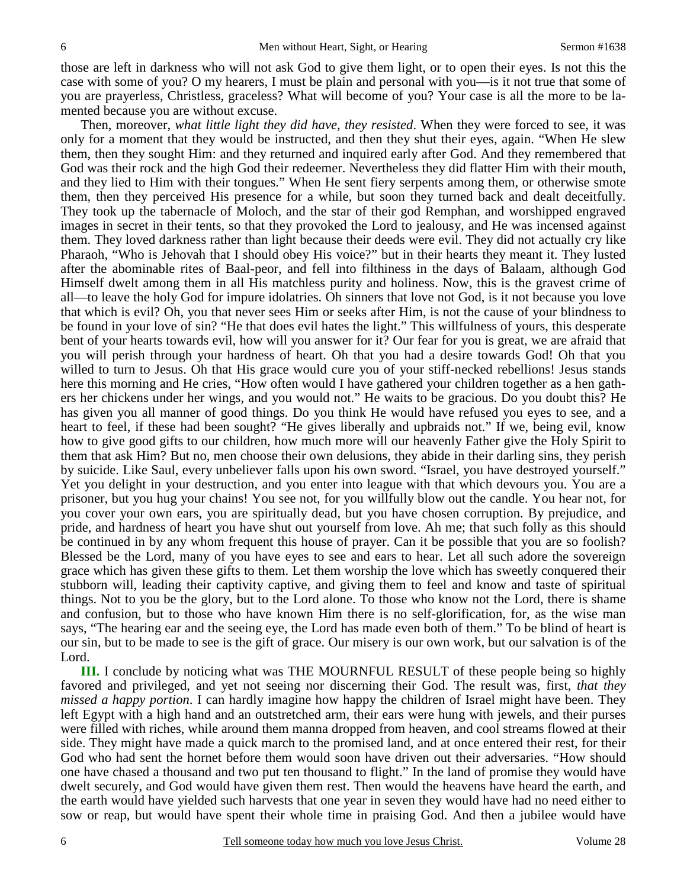those are left in darkness who will not ask God to give them light, or to open their eyes. Is not this the case with some of you? O my hearers, I must be plain and personal with you—is it not true that some of you are prayerless, Christless, graceless? What will become of you? Your case is all the more to be lamented because you are without excuse.

 Then, moreover, *what little light they did have, they resisted*. When they were forced to see, it was only for a moment that they would be instructed, and then they shut their eyes, again. "When He slew them, then they sought Him: and they returned and inquired early after God. And they remembered that God was their rock and the high God their redeemer. Nevertheless they did flatter Him with their mouth, and they lied to Him with their tongues." When He sent fiery serpents among them, or otherwise smote them, then they perceived His presence for a while, but soon they turned back and dealt deceitfully. They took up the tabernacle of Moloch, and the star of their god Remphan, and worshipped engraved images in secret in their tents, so that they provoked the Lord to jealousy, and He was incensed against them. They loved darkness rather than light because their deeds were evil. They did not actually cry like Pharaoh, "Who is Jehovah that I should obey His voice?" but in their hearts they meant it. They lusted after the abominable rites of Baal-peor, and fell into filthiness in the days of Balaam, although God Himself dwelt among them in all His matchless purity and holiness. Now, this is the gravest crime of all—to leave the holy God for impure idolatries. Oh sinners that love not God, is it not because you love that which is evil? Oh, you that never sees Him or seeks after Him, is not the cause of your blindness to be found in your love of sin? "He that does evil hates the light." This willfulness of yours, this desperate bent of your hearts towards evil, how will you answer for it? Our fear for you is great, we are afraid that you will perish through your hardness of heart. Oh that you had a desire towards God! Oh that you willed to turn to Jesus. Oh that His grace would cure you of your stiff-necked rebellions! Jesus stands here this morning and He cries, "How often would I have gathered your children together as a hen gathers her chickens under her wings, and you would not." He waits to be gracious. Do you doubt this? He has given you all manner of good things. Do you think He would have refused you eyes to see, and a heart to feel, if these had been sought? "He gives liberally and upbraids not." If we, being evil, know how to give good gifts to our children, how much more will our heavenly Father give the Holy Spirit to them that ask Him? But no, men choose their own delusions, they abide in their darling sins, they perish by suicide. Like Saul, every unbeliever falls upon his own sword. "Israel, you have destroyed yourself." Yet you delight in your destruction, and you enter into league with that which devours you. You are a prisoner, but you hug your chains! You see not, for you willfully blow out the candle. You hear not, for you cover your own ears, you are spiritually dead, but you have chosen corruption. By prejudice, and pride, and hardness of heart you have shut out yourself from love. Ah me; that such folly as this should be continued in by any whom frequent this house of prayer. Can it be possible that you are so foolish? Blessed be the Lord, many of you have eyes to see and ears to hear. Let all such adore the sovereign grace which has given these gifts to them. Let them worship the love which has sweetly conquered their stubborn will, leading their captivity captive, and giving them to feel and know and taste of spiritual things. Not to you be the glory, but to the Lord alone. To those who know not the Lord, there is shame and confusion, but to those who have known Him there is no self-glorification, for, as the wise man says, "The hearing ear and the seeing eye, the Lord has made even both of them." To be blind of heart is our sin, but to be made to see is the gift of grace. Our misery is our own work, but our salvation is of the Lord.

**III.** I conclude by noticing what was THE MOURNFUL RESULT of these people being so highly favored and privileged, and yet not seeing nor discerning their God. The result was, first, *that they missed a happy portion*. I can hardly imagine how happy the children of Israel might have been. They left Egypt with a high hand and an outstretched arm, their ears were hung with jewels, and their purses were filled with riches, while around them manna dropped from heaven, and cool streams flowed at their side. They might have made a quick march to the promised land, and at once entered their rest, for their God who had sent the hornet before them would soon have driven out their adversaries. "How should one have chased a thousand and two put ten thousand to flight." In the land of promise they would have dwelt securely, and God would have given them rest. Then would the heavens have heard the earth, and the earth would have yielded such harvests that one year in seven they would have had no need either to sow or reap, but would have spent their whole time in praising God. And then a jubilee would have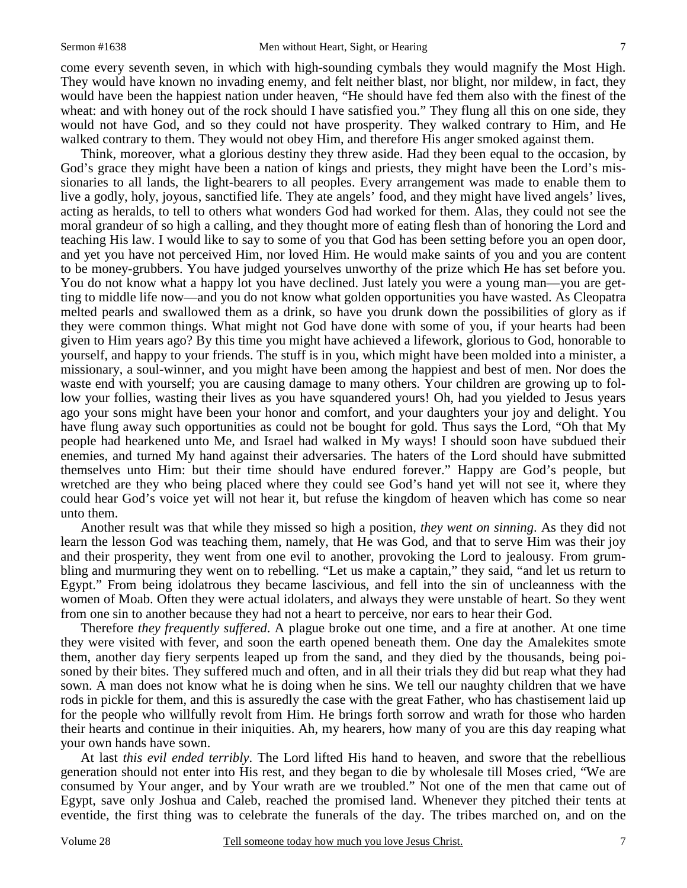come every seventh seven, in which with high-sounding cymbals they would magnify the Most High. They would have known no invading enemy, and felt neither blast, nor blight, nor mildew, in fact, they would have been the happiest nation under heaven, "He should have fed them also with the finest of the wheat: and with honey out of the rock should I have satisfied you." They flung all this on one side, they would not have God, and so they could not have prosperity. They walked contrary to Him, and He walked contrary to them. They would not obey Him, and therefore His anger smoked against them.

 Think, moreover, what a glorious destiny they threw aside. Had they been equal to the occasion, by God's grace they might have been a nation of kings and priests, they might have been the Lord's missionaries to all lands, the light-bearers to all peoples. Every arrangement was made to enable them to live a godly, holy, joyous, sanctified life. They ate angels' food, and they might have lived angels' lives, acting as heralds, to tell to others what wonders God had worked for them. Alas, they could not see the moral grandeur of so high a calling, and they thought more of eating flesh than of honoring the Lord and teaching His law. I would like to say to some of you that God has been setting before you an open door, and yet you have not perceived Him, nor loved Him. He would make saints of you and you are content to be money-grubbers. You have judged yourselves unworthy of the prize which He has set before you. You do not know what a happy lot you have declined. Just lately you were a young man—you are getting to middle life now—and you do not know what golden opportunities you have wasted. As Cleopatra melted pearls and swallowed them as a drink, so have you drunk down the possibilities of glory as if they were common things. What might not God have done with some of you, if your hearts had been given to Him years ago? By this time you might have achieved a lifework, glorious to God, honorable to yourself, and happy to your friends. The stuff is in you, which might have been molded into a minister, a missionary, a soul-winner, and you might have been among the happiest and best of men. Nor does the waste end with yourself; you are causing damage to many others. Your children are growing up to follow your follies, wasting their lives as you have squandered yours! Oh, had you yielded to Jesus years ago your sons might have been your honor and comfort, and your daughters your joy and delight. You have flung away such opportunities as could not be bought for gold. Thus says the Lord, "Oh that My people had hearkened unto Me, and Israel had walked in My ways! I should soon have subdued their enemies, and turned My hand against their adversaries. The haters of the Lord should have submitted themselves unto Him: but their time should have endured forever." Happy are God's people, but wretched are they who being placed where they could see God's hand yet will not see it, where they could hear God's voice yet will not hear it, but refuse the kingdom of heaven which has come so near unto them.

 Another result was that while they missed so high a position, *they went on sinning*. As they did not learn the lesson God was teaching them, namely, that He was God, and that to serve Him was their joy and their prosperity, they went from one evil to another, provoking the Lord to jealousy. From grumbling and murmuring they went on to rebelling. "Let us make a captain," they said, "and let us return to Egypt." From being idolatrous they became lascivious, and fell into the sin of uncleanness with the women of Moab. Often they were actual idolaters, and always they were unstable of heart. So they went from one sin to another because they had not a heart to perceive, nor ears to hear their God.

 Therefore *they frequently suffered*. A plague broke out one time, and a fire at another. At one time they were visited with fever, and soon the earth opened beneath them. One day the Amalekites smote them, another day fiery serpents leaped up from the sand, and they died by the thousands, being poisoned by their bites. They suffered much and often, and in all their trials they did but reap what they had sown. A man does not know what he is doing when he sins. We tell our naughty children that we have rods in pickle for them, and this is assuredly the case with the great Father, who has chastisement laid up for the people who willfully revolt from Him. He brings forth sorrow and wrath for those who harden their hearts and continue in their iniquities. Ah, my hearers, how many of you are this day reaping what your own hands have sown.

 At last *this evil ended terribly*. The Lord lifted His hand to heaven, and swore that the rebellious generation should not enter into His rest, and they began to die by wholesale till Moses cried, "We are consumed by Your anger, and by Your wrath are we troubled." Not one of the men that came out of Egypt, save only Joshua and Caleb, reached the promised land. Whenever they pitched their tents at eventide, the first thing was to celebrate the funerals of the day. The tribes marched on, and on the